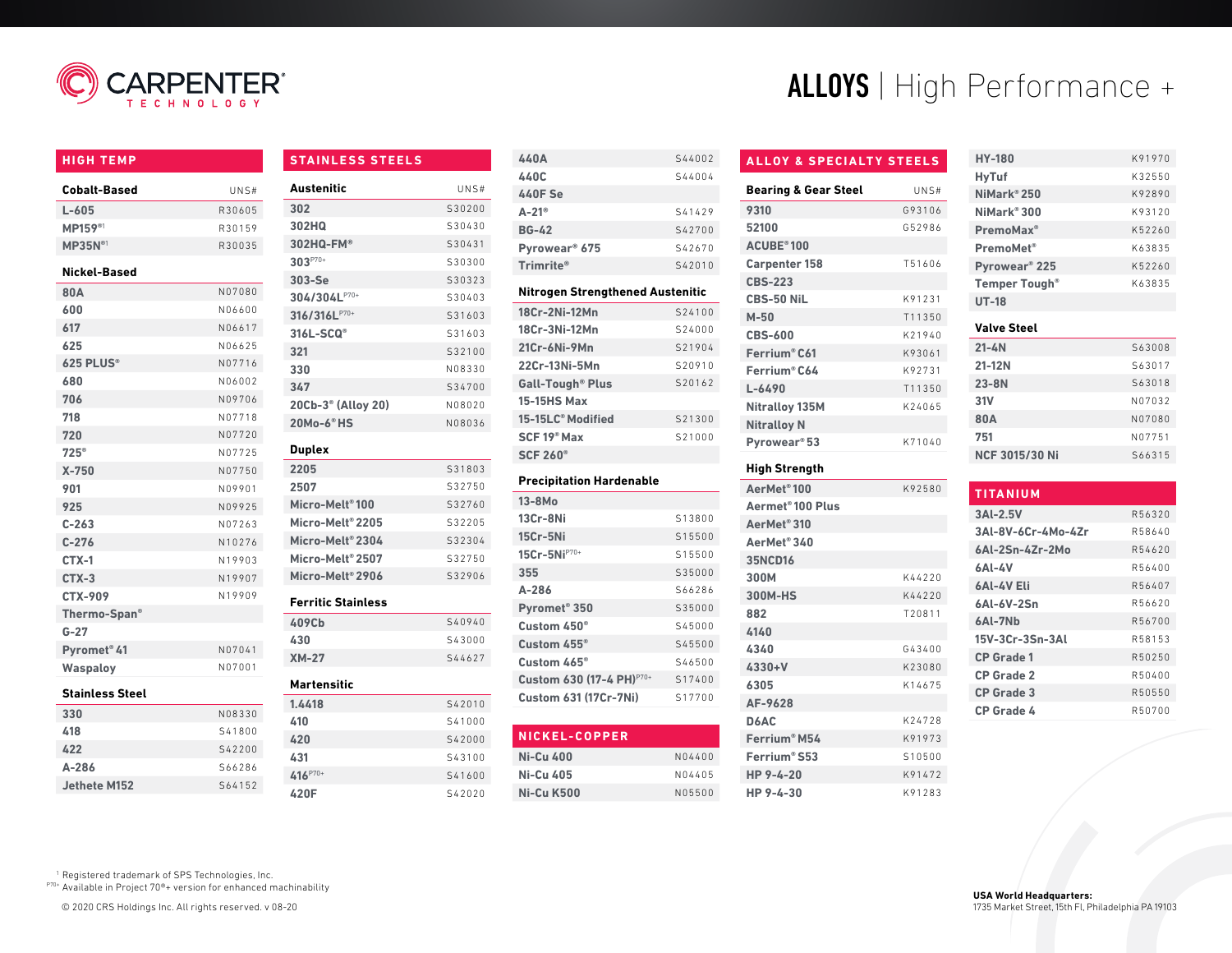

# **HIGH TEMP**

| <b>Cobalt-Based</b> | UNS#   |
|---------------------|--------|
| $L - 605$           | R30605 |
| <b>MP159®</b>       | R30159 |
| MP35N <sup>01</sup> | R30035 |
| Nickel-Based        |        |
| 80A                 | N07080 |
| 600                 | N06600 |
| 617                 | N06617 |
| 625                 | N06625 |
| 625 PLUS®           | N07716 |
|                     |        |

| MP159 <sup>®1</sup>     | R30159 | 302HQ                          | S30430 |
|-------------------------|--------|--------------------------------|--------|
| <b>MP35N®1</b>          | R30035 | 302HQ-FM®                      | S30431 |
|                         |        | $303^{P70+}$                   | S30300 |
| Nickel-Based            |        | 303-Se                         | S30323 |
| 80A                     | N07080 | 304/304LP70+                   | S30403 |
| 600                     | N06600 | 316/316LP70+                   | S31603 |
| 617                     | N06617 | 316L-SCQ <sup>®</sup>          | S31603 |
| 625                     | N06625 | 321                            | S32100 |
| 625 PLUS®               | N07716 | 330                            | N08330 |
| 680                     | N06002 | 347                            | S34700 |
| 706                     | N09706 | 20Cb-3 <sup>®</sup> (Alloy 20) | N08020 |
| 718                     | N07718 | 20Mo-6 <sup>®</sup> HS         | N08036 |
| 720                     | N07720 |                                |        |
| $725^{\circ}$           | N07725 | <b>Duplex</b>                  |        |
| $X-750$                 | N07750 | 2205                           | S31803 |
| 901                     | N09901 | 2507                           | S32750 |
| 925                     | N09925 | Micro-Melt <sup>®</sup> 100    | S32760 |
| $C - 263$               | N07263 | Micro-Melt <sup>®</sup> 2205   | S32205 |
| $C-276$                 | N10276 | Micro-Melt®2304                | S32304 |
| $CTX-1$                 | N19903 | Micro-Melt® 2507               | S32750 |
| $CTX-3$                 | N19907 | Micro-Melt <sup>®</sup> 2906   | S32906 |
| <b>CTX-909</b>          | N19909 | <b>Ferritic Stainless</b>      |        |
| Thermo-Span®            |        | 409Cb                          | S40940 |
| $G-27$                  |        | 430                            | S43000 |
| Pyromet <sup>®</sup> 41 | N07041 | $XM-27$                        | S44627 |
| <b>Waspaloy</b>         | N07001 |                                |        |
|                         |        | <b>Martensitic</b>             |        |
| <b>Stainless Steel</b>  |        | 1.4418                         | S42010 |
| 330                     | N08330 | 410                            | S41000 |
| 418                     | S41800 | 420                            | S42000 |
| 422                     | S42200 | 431                            | S43100 |
| $A - 286$               | S66286 | 416P70+                        | S41600 |

**STAINLESS STEELS**

**Austenitic** UNS# **302** S30200

**420F** S42020

| 440A                      | S44002 |
|---------------------------|--------|
| 440C                      | S44004 |
| 440F Se                   |        |
| $A-21^{\circ}$            | S41429 |
| <b>BG-42</b>              | S42700 |
| Pyrowear <sup>®</sup> 675 | S42670 |
| Trimrite®                 | S42010 |
|                           |        |

# **Nitrogen Strengthened Austenitic**

| 18Cr-2Ni-12Mn                      | S24100 |
|------------------------------------|--------|
| 18Cr-3Ni-12Mn                      | 524000 |
| 21Cr-6Ni-9Mn                       | S21904 |
| 22Cr-13Ni-5Mn                      | S20910 |
| <b>Gall-Tough<sup>®</sup> Plus</b> | S20162 |
| <b>15-15HS Max</b>                 |        |
| 15-15LC <sup>®</sup> Modified      | S21300 |
| SCF 19 <sup>®</sup> Max            | S21000 |
| <b>SCF 260<sup>®</sup></b>         |        |

# **Precipitation Hardenable**

| $13-8Mo$                             |        |
|--------------------------------------|--------|
| 13Cr-8Ni                             | S13800 |
| 15Cr-5Ni                             | S15500 |
| 15Cr-5Ni <sup>P70+</sup>             | S15500 |
| 355                                  | S35000 |
| $A - 286$                            | S66286 |
| Pyromet <sup>®</sup> 350             | S35000 |
| Custom $450^\circ$                   | S45000 |
| Custom $455^\circ$                   | S45500 |
| Custom $465^\circ$                   | S46500 |
| Custom 630 (17-4 PH) <sup>P70+</sup> | S17400 |
| <b>Custom 631 (17Cr-7Ni)</b>         | S17700 |

| NICKEL-COPPER |        |
|---------------|--------|
| Ni-Cu 400     | N04400 |
| Ni-Cu 405     | N04405 |
| Ni-Cu K500    | N05500 |

# ALLOYS | High Performance +

# **ALLOY & SPECIALTY STEELS**

| <b>Bearing &amp; Gear Steel</b> | UNS#   |
|---------------------------------|--------|
| 9310                            | G93106 |
| 52100                           | G52986 |
| <b>ACUBE®100</b>                |        |
| <b>Carpenter 158</b>            | T51606 |
| <b>CBS-223</b>                  |        |
| CBS-50 NiL                      | K91231 |
| $M-50$                          | T11350 |
| <b>CBS-600</b>                  | K21940 |
| Ferrium® C61                    | K93061 |
| Ferrium® C64                    | K92731 |
| L-6490                          | T11350 |
| Nitralloy 135M                  | K24065 |
| <b>Nitralloy N</b>              |        |
| Pyrowear <sup>®</sup> 53        | K71040 |
|                                 |        |

#### **High Strength**

| AerMet <sup>®</sup> 100      | K92580 |
|------------------------------|--------|
| Aermet <sup>®</sup> 100 Plus |        |
| AerMet <sup>®</sup> 310      |        |
| AerMet <sup>®</sup> 340      |        |
| <b>35NCD16</b>               |        |
| 300M                         | K44220 |
| 300M-HS                      | K44220 |
| 882                          | T20811 |
| 4140                         |        |
| 4340                         | G43400 |
| $4330 + V$                   | K23080 |
| 6305                         | K14675 |
| AF-9628                      |        |
| D6AC                         | K24728 |
| Ferrium® M54                 | K91973 |
| Ferrium® S53                 | S10500 |
| HP 9-4-20                    | K91472 |
| HP 9-4-30                    | K91283 |
|                              |        |

| <b>HY-180</b>             | K91970 |
|---------------------------|--------|
| <b>HyTuf</b>              | K32550 |
| NiMark®250                | K92890 |
| NiMark® 300               | K93120 |
| PremoMax <sup>®</sup>     | K52260 |
| PremoMet <sup>®</sup>     | K63835 |
| Pyrowear <sup>®</sup> 225 | K52260 |
| <b>Temper Tough®</b>      | K63835 |
| <b>UT-18</b>              |        |

# **Valve Steel**

| $21 - 4N$             | S63008 |
|-----------------------|--------|
| 21-12N                | S63017 |
| $23 - 8N$             | S63018 |
| 31V                   | N07032 |
| <b>80A</b>            | N07080 |
| 751                   | N07751 |
| <b>NCF 3015/30 Ni</b> | S66315 |

| <b>TITANIUM</b>    |        |
|--------------------|--------|
| $3Al-2.5V$         | R56320 |
| 3AI-8V-6Cr-4Mo-4Zr | R58640 |
| 6AI-2Sn-4Zr-2Mo    | R54620 |
| 6AI-4V             | R56400 |
| 6AL-4V Eli         | R56407 |
| 6AI-6V-2Sn         | R56620 |
| 6AI-7Nb            | R56700 |
| 15V-3Cr-3Sn-3AI    | R58153 |
| <b>CP</b> Grade 1  | R50250 |
| <b>CP Grade 2</b>  | R50400 |
| <b>CP Grade 3</b>  | R50550 |
| <b>CP Grade 4</b>  | R50700 |
|                    |        |

<sup>1</sup> Registered trademark of SPS Technologies, Inc.

**Jethete M152** S64152

P70+ Available in Project 70®+ version for enhanced machinability